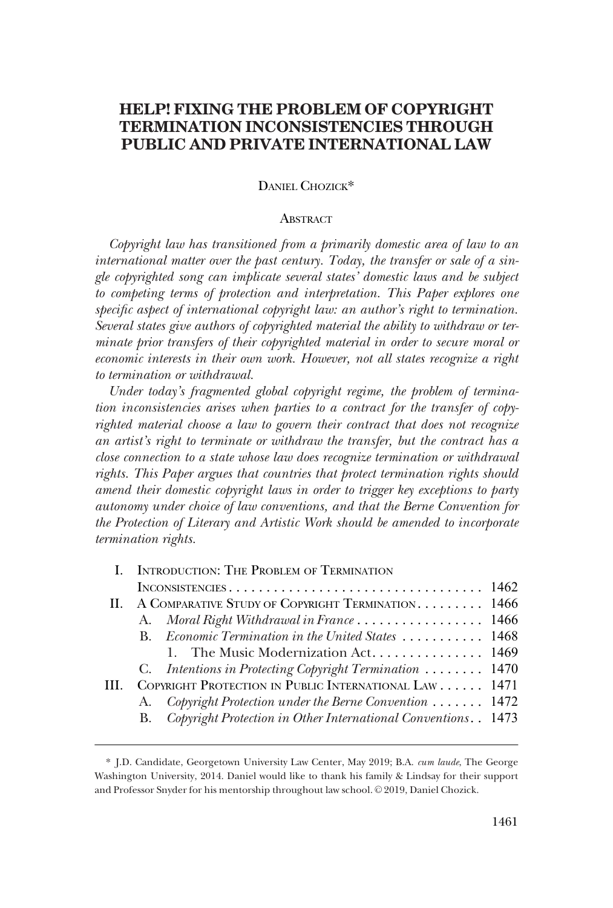# **HELP! FIXING THE PROBLEM OF COPYRIGHT TERMINATION INCONSISTENCIES THROUGH PUBLIC AND PRIVATE INTERNATIONAL LAW**

### DANIEL CHOZICK\*

#### **ABSTRACT**

*Copyright law has transitioned from a primarily domestic area of law to an international matter over the past century. Today, the transfer or sale of a single copyrighted song can implicate several states' domestic laws and be subject to competing terms of protection and interpretation. This Paper explores one specific aspect of international copyright law: an author's right to termination. Several states give authors of copyrighted material the ability to withdraw or terminate prior transfers of their copyrighted material in order to secure moral or economic interests in their own work. However, not all states recognize a right to termination or withdrawal.* 

*Under today's fragmented global copyright regime, the problem of termination inconsistencies arises when parties to a contract for the transfer of copyrighted material choose a law to govern their contract that does not recognize an artist's right to terminate or withdraw the transfer, but the contract has a close connection to a state whose law does recognize termination or withdrawal rights. This Paper argues that countries that protect termination rights should amend their domestic copyright laws in order to trigger key exceptions to party autonomy under choice of law conventions, and that the Berne Convention for the Protection of Literary and Artistic Work should be amended to incorporate termination rights.* 

| I. INTRODUCTION: THE PROBLEM OF TERMINATION            |  |                                                                                                                                                                                                                                                                                                                                                                                                |
|--------------------------------------------------------|--|------------------------------------------------------------------------------------------------------------------------------------------------------------------------------------------------------------------------------------------------------------------------------------------------------------------------------------------------------------------------------------------------|
|                                                        |  |                                                                                                                                                                                                                                                                                                                                                                                                |
| II. A COMPARATIVE STUDY OF COPYRIGHT TERMINATION. 1466 |  |                                                                                                                                                                                                                                                                                                                                                                                                |
|                                                        |  |                                                                                                                                                                                                                                                                                                                                                                                                |
|                                                        |  |                                                                                                                                                                                                                                                                                                                                                                                                |
|                                                        |  |                                                                                                                                                                                                                                                                                                                                                                                                |
|                                                        |  |                                                                                                                                                                                                                                                                                                                                                                                                |
|                                                        |  |                                                                                                                                                                                                                                                                                                                                                                                                |
|                                                        |  |                                                                                                                                                                                                                                                                                                                                                                                                |
|                                                        |  |                                                                                                                                                                                                                                                                                                                                                                                                |
|                                                        |  | A. Moral Right Withdrawal in France 1466<br>B. Economic Termination in the United States  1468<br>1. The Music Modernization Act 1469<br>C. Intentions in Protecting Copyright Termination  1470<br>COPYRIGHT PROTECTION IN PUBLIC INTERNATIONAL LAW 1471<br>A. Copyright Protection under the Berne Convention  1472<br>Copyright Protection in Other International Conventions. . 1473<br>В. |

<sup>\*</sup> J.D. Candidate, Georgetown University Law Center, May 2019; B.A. *cum laude*, The George Washington University, 2014. Daniel would like to thank his family & Lindsay for their support and Professor Snyder for his mentorship throughout law school. © 2019, Daniel Chozick.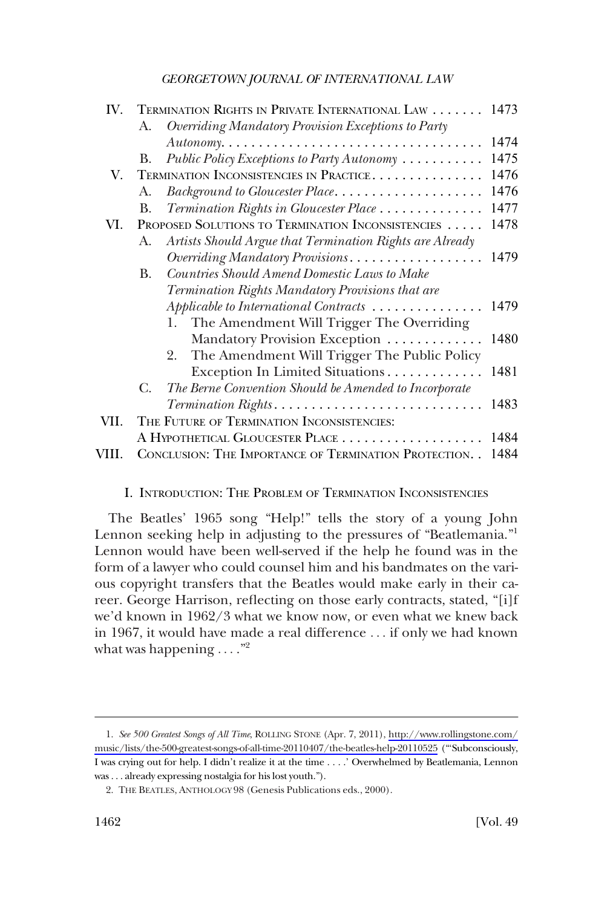<span id="page-1-0"></span>

| IV.   |    | TERMINATION RIGHTS IN PRIVATE INTERNATIONAL LAW 1473     |      |
|-------|----|----------------------------------------------------------|------|
|       | A. | Overriding Mandatory Provision Exceptions to Party       |      |
|       |    |                                                          | 1474 |
|       | В. | Public Policy Exceptions to Party Autonomy               | 1475 |
| V.    |    | TERMINATION INCONSISTENCIES IN PRACTICE                  | 1476 |
|       | A. | Background to Gloucester Place                           | 1476 |
|       | В. | Termination Rights in Gloucester Place                   | 1477 |
| VI.   |    | PROPOSED SOLUTIONS TO TERMINATION INCONSISTENCIES        | 1478 |
|       | A. | Artists Should Argue that Termination Rights are Already |      |
|       |    | Overriding Mandatory Provisions                          | 1479 |
|       | В. | Countries Should Amend Domestic Laws to Make             |      |
|       |    | Termination Rights Mandatory Provisions that are         |      |
|       |    | Applicable to International Contracts                    | 1479 |
|       |    | The Amendment Will Trigger The Overriding<br>1.          |      |
|       |    | Mandatory Provision Exception                            | 1480 |
|       |    | The Amendment Will Trigger The Public Policy<br>2.       |      |
|       |    | Exception In Limited Situations                          | 1481 |
|       | С. | The Berne Convention Should be Amended to Incorporate    |      |
|       |    |                                                          | 1483 |
| VII.  |    | THE FUTURE OF TERMINATION INCONSISTENCIES:               |      |
|       |    |                                                          | 1484 |
| VIII. |    | CONCLUSION: THE IMPORTANCE OF TERMINATION PROTECTION     | 1484 |

### I. INTRODUCTION: THE PROBLEM OF TERMINATION INCONSISTENCIES

The Beatles' 1965 song "Help!" tells the story of a young John Lennon seeking help in adjusting to the pressures of "Beatlemania."<sup>1</sup> Lennon would have been well-served if the help he found was in the form of a lawyer who could counsel him and his bandmates on the various copyright transfers that the Beatles would make early in their career. George Harrison, reflecting on those early contracts, stated, "[i]f we'd known in 1962/3 what we know now, or even what we knew back in 1967, it would have made a real difference . . . if only we had known what was happening  $\dots$ ."

*See 500 Greatest Songs of All Time*, ROLLING STONE (Apr. 7, 2011), [http://www.rollingstone.com/](http://www.rollingstone.com/music/lists/the-500-greatest-songs-of-all-time-20110407/the-beatles-help-20110525)  1. [music/lists/the-500-greatest-songs-of-all-time-20110407/the-beatles-help-20110525](http://www.rollingstone.com/music/lists/the-500-greatest-songs-of-all-time-20110407/the-beatles-help-20110525) ("'Subconsciously, I was crying out for help. I didn't realize it at the time . . . .' Overwhelmed by Beatlemania, Lennon was . . . already expressing nostalgia for his lost youth.").

<sup>2.</sup> THE BEATLES, ANTHOLOGY 98 (Genesis Publications eds., 2000).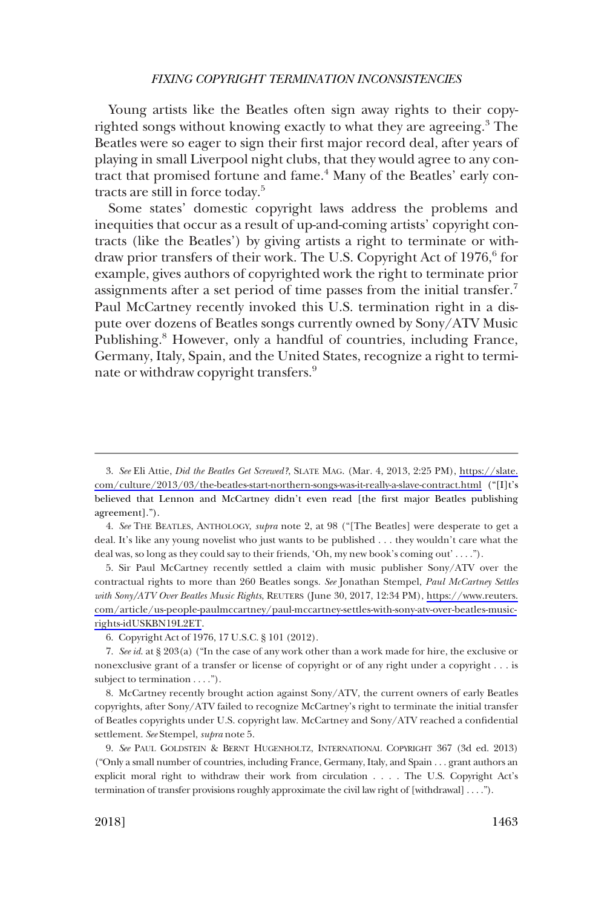Young artists like the Beatles often sign away rights to their copyrighted songs without knowing exactly to what they are agreeing.<sup>3</sup> The Beatles were so eager to sign their first major record deal, after years of playing in small Liverpool night clubs, that they would agree to any contract that promised fortune and fame.<sup>4</sup> Many of the Beatles' early contracts are still in force today.5

Some states' domestic copyright laws address the problems and inequities that occur as a result of up-and-coming artists' copyright contracts (like the Beatles') by giving artists a right to terminate or withdraw prior transfers of their work. The U.S. Copyright Act of 1976,<sup>6</sup> for example, gives authors of copyrighted work the right to terminate prior assignments after a set period of time passes from the initial transfer.<sup>7</sup> Paul McCartney recently invoked this U.S. termination right in a dispute over dozens of Beatles songs currently owned by Sony/ATV Music Publishing.<sup>8</sup> However, only a handful of countries, including France, Germany, Italy, Spain, and the United States, recognize a right to terminate or withdraw copyright transfers.<sup>9</sup>

Sir Paul McCartney recently settled a claim with music publisher Sony/ATV over the 5. contractual rights to more than 260 Beatles songs. *See* Jonathan Stempel, *Paul McCartney Settles with Sony/ATV Over Beatles Music Rights*, REUTERS (June 30, 2017, 12:34 PM), [https://www.reuters.](https://www.reuters.com/article/us-people-paulmccartney/paul-mccartney-settles-with-sony-atv-over-beatles-music-rights-idUSKBN19L2ET)  [com/article/us-people-paulmccartney/paul-mccartney-settles-with-sony-atv-over-beatles-music](https://www.reuters.com/article/us-people-paulmccartney/paul-mccartney-settles-with-sony-atv-over-beatles-music-rights-idUSKBN19L2ET)[rights-idUSKBN19L2ET](https://www.reuters.com/article/us-people-paulmccartney/paul-mccartney-settles-with-sony-atv-over-beatles-music-rights-idUSKBN19L2ET).

8. McCartney recently brought action against Sony/ATV, the current owners of early Beatles copyrights, after Sony/ATV failed to recognize McCartney's right to terminate the initial transfer of Beatles copyrights under U.S. copyright law. McCartney and Sony/ATV reached a confidential settlement. *See* Stempel, *supra* note 5.

*See* Eli Attie, *Did the Beatles Get Screwed?*, SLATE MAG. (Mar. 4, 2013, 2:25 PM), [https://slate.](https://slate.com/culture/2013/03/the-beatles-start-northern-songs-was-it-really-a-slave-contract.html) 3. [com/culture/2013/03/the-beatles-start-northern-songs-was-it-really-a-slave-contract.html](https://slate.com/culture/2013/03/the-beatles-start-northern-songs-was-it-really-a-slave-contract.html) ("[I]t's believed that Lennon and McCartney didn't even read [the first major Beatles publishing agreement].").

<sup>4.</sup> *See* THE BEATLES, ANTHOLOGY, *supra* note 2, at 98 ("[The Beatles] were desperate to get a deal. It's like any young novelist who just wants to be published . . . they wouldn't care what the deal was, so long as they could say to their friends, 'Oh, my new book's coming out' . . . .").

<sup>6.</sup> Copyright Act of 1976, 17 U.S.C. § 101 (2012).

<sup>7.</sup> *See id*. at § 203(a) ("In the case of any work other than a work made for hire, the exclusive or nonexclusive grant of a transfer or license of copyright or of any right under a copyright . . . is subject to termination . . . .").

<sup>9.</sup> *See* PAUL GOLDSTEIN & BERNT HUGENHOLTZ, INTERNATIONAL COPYRIGHT 367 (3d ed. 2013) ("Only a small number of countries, including France, Germany, Italy, and Spain . . . grant authors an explicit moral right to withdraw their work from circulation . . . . The U.S. Copyright Act's termination of transfer provisions roughly approximate the civil law right of [withdrawal] . . . .").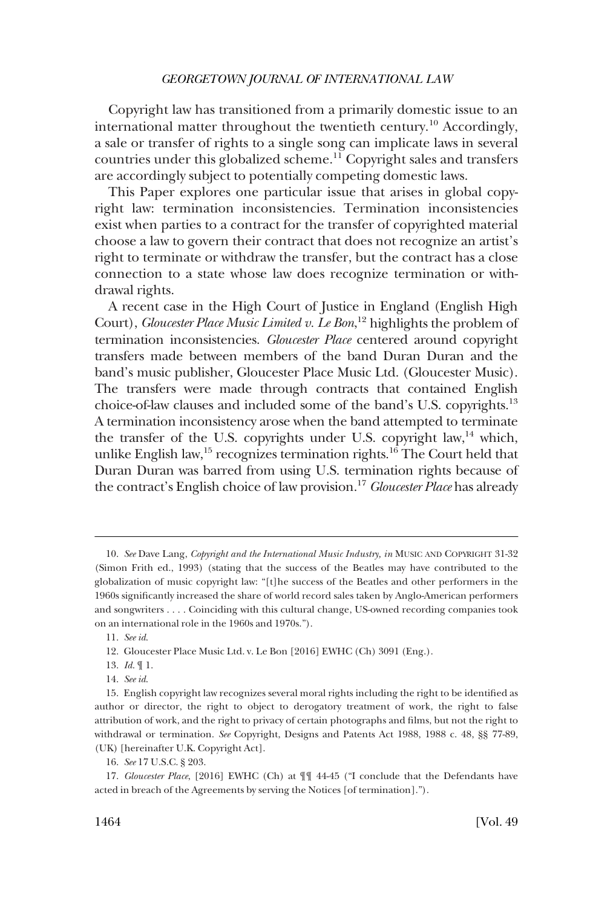Copyright law has transitioned from a primarily domestic issue to an international matter throughout the twentieth century.<sup>10</sup> Accordingly, a sale or transfer of rights to a single song can implicate laws in several countries under this globalized scheme.<sup>11</sup> Copyright sales and transfers are accordingly subject to potentially competing domestic laws.

This Paper explores one particular issue that arises in global copyright law: termination inconsistencies. Termination inconsistencies exist when parties to a contract for the transfer of copyrighted material choose a law to govern their contract that does not recognize an artist's right to terminate or withdraw the transfer, but the contract has a close connection to a state whose law does recognize termination or withdrawal rights.

A recent case in the High Court of Justice in England (English High Court), *Gloucester Place Music Limited v. Le Bon*, 12 highlights the problem of termination inconsistencies. *Gloucester Place* centered around copyright transfers made between members of the band Duran Duran and the band's music publisher, Gloucester Place Music Ltd. (Gloucester Music). The transfers were made through contracts that contained English choice-of-law clauses and included some of the band's U.S. copyrights.13 A termination inconsistency arose when the band attempted to terminate the transfer of the U.S. copyrights under U.S. copyright law, $14$  which, unlike English law,<sup>15</sup> recognizes termination rights.<sup>16</sup> The Court held that Duran Duran was barred from using U.S. termination rights because of the contract's English choice of law provision.17 *Gloucester Place* has already

<sup>10.</sup> *See* Dave Lang, *Copyright and the International Music Industry, in* MUSIC AND COPYRIGHT 31-32 (Simon Frith ed., 1993) (stating that the success of the Beatles may have contributed to the globalization of music copyright law: "[t]he success of the Beatles and other performers in the 1960s significantly increased the share of world record sales taken by Anglo-American performers and songwriters . . . . Coinciding with this cultural change, US-owned recording companies took on an international role in the 1960s and 1970s.").

<sup>11.</sup> *See id*.

<sup>12.</sup> Gloucester Place Music Ltd. v. Le Bon [2016] EWHC (Ch) 3091 (Eng.).

<sup>13.</sup> *Id*. ¶ 1.

<sup>14.</sup> *See id*.

<sup>15.</sup> English copyright law recognizes several moral rights including the right to be identified as author or director, the right to object to derogatory treatment of work, the right to false attribution of work, and the right to privacy of certain photographs and films, but not the right to withdrawal or termination. *See* Copyright, Designs and Patents Act 1988, 1988 c. 48, §§ 77-89, (UK) [hereinafter U.K. Copyright Act].

<sup>16.</sup> *See* 17 U.S.C. § 203.

<sup>17.</sup> *Gloucester Place*, [2016] EWHC (Ch) at ¶¶ 44-45 ("I conclude that the Defendants have acted in breach of the Agreements by serving the Notices [of termination].").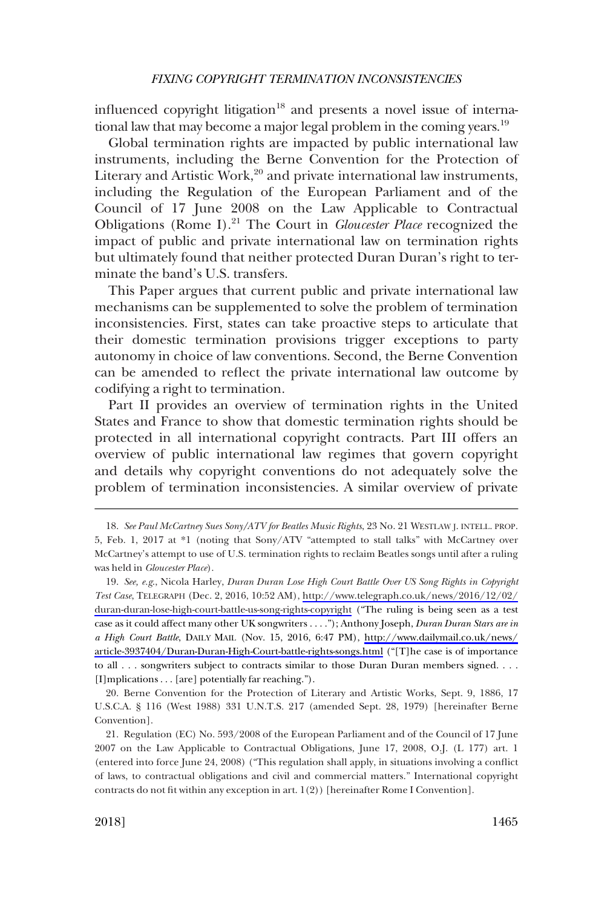influenced copyright litigation<sup>18</sup> and presents a novel issue of international law that may become a major legal problem in the coming years.<sup>19</sup>

Global termination rights are impacted by public international law instruments, including the Berne Convention for the Protection of Literary and Artistic Work, $20$  and private international law instruments, including the Regulation of the European Parliament and of the Council of 17 June 2008 on the Law Applicable to Contractual Obligations (Rome I).21 The Court in *Gloucester Place* recognized the impact of public and private international law on termination rights but ultimately found that neither protected Duran Duran's right to terminate the band's U.S. transfers.

This Paper argues that current public and private international law mechanisms can be supplemented to solve the problem of termination inconsistencies. First, states can take proactive steps to articulate that their domestic termination provisions trigger exceptions to party autonomy in choice of law conventions. Second, the Berne Convention can be amended to reflect the private international law outcome by codifying a right to termination.

Part II provides an overview of termination rights in the United States and France to show that domestic termination rights should be protected in all international copyright contracts. Part III offers an overview of public international law regimes that govern copyright and details why copyright conventions do not adequately solve the problem of termination inconsistencies. A similar overview of private

<sup>18.</sup> *See Paul McCartney Sues Sony/ATV for Beatles Music Rights*, 23 No. 21 WESTLAW J. INTELL. PROP. 5, Feb. 1, 2017 at \*1 (noting that Sony/ATV "attempted to stall talks" with McCartney over McCartney's attempt to use of U.S. termination rights to reclaim Beatles songs until after a ruling was held in *Gloucester Place*).

*See, e.g*., Nicola Harley, *Duran Duran Lose High Court Battle Over US Song Rights in Copyright*  19. *Test Case*, TELEGRAPH (Dec. 2, 2016, 10:52 AM), [http://www.telegraph.co.uk/news/2016/12/02/](http://www.telegraph.co.uk/news/2016/12/02/duran-duran-lose-high-court-battle-us-song-rights-copyright) [duran-duran-lose-high-court-battle-us-song-rights-copyright](http://www.telegraph.co.uk/news/2016/12/02/duran-duran-lose-high-court-battle-us-song-rights-copyright) ("The ruling is being seen as a test case as it could affect many other UK songwriters . . . ."); Anthony Joseph, *Duran Duran Stars are in a High Court Battle*, DAILY MAIL (Nov. 15, 2016, 6:47 PM), [http://www.dailymail.co.uk/news/](http://www.dailymail.co.uk/news/article-3937404/Duran-Duran-High-Court-battle-rights-songs.html)  [article-3937404/Duran-Duran-High-Court-battle-rights-songs.html](http://www.dailymail.co.uk/news/article-3937404/Duran-Duran-High-Court-battle-rights-songs.html) ("[T]he case is of importance to all . . . songwriters subject to contracts similar to those Duran Duran members signed. . . . [I]mplications . . . [are] potentially far reaching.").

<sup>20.</sup> Berne Convention for the Protection of Literary and Artistic Works, Sept. 9, 1886, 17 U.S.C.A. § 116 (West 1988) 331 U.N.T.S. 217 (amended Sept. 28, 1979) [hereinafter Berne Convention].

<sup>21.</sup> Regulation (EC) No. 593/2008 of the European Parliament and of the Council of 17 June 2007 on the Law Applicable to Contractual Obligations, June 17, 2008, O.J. (L 177) art. 1 (entered into force June 24, 2008) ("This regulation shall apply, in situations involving a conflict of laws, to contractual obligations and civil and commercial matters." International copyright contracts do not fit within any exception in art. 1(2)) [hereinafter Rome I Convention].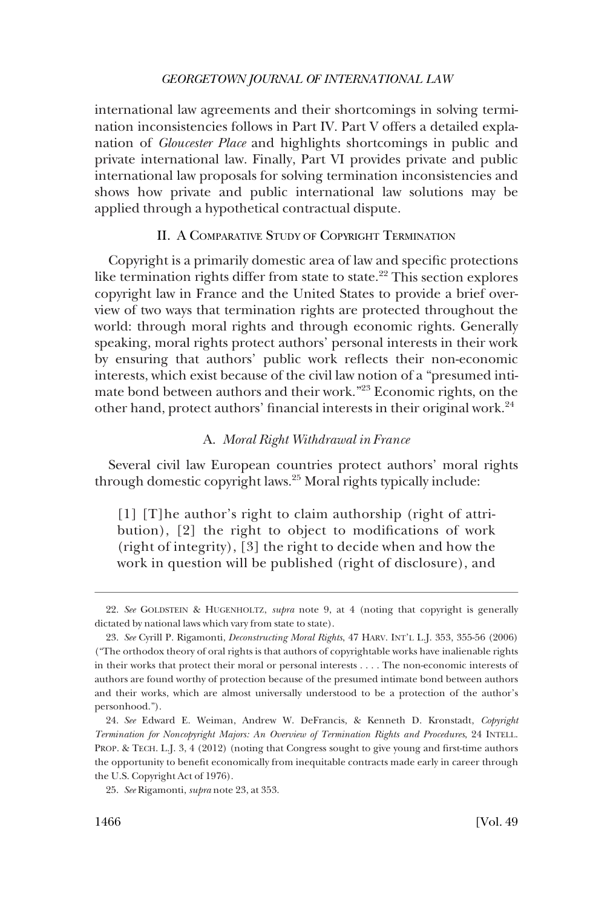<span id="page-5-0"></span>international law agreements and their shortcomings in solving termination inconsistencies follows in Part IV. Part V offers a detailed explanation of *Gloucester Place* and highlights shortcomings in public and private international law. Finally, Part VI provides private and public international law proposals for solving termination inconsistencies and shows how private and public international law solutions may be applied through a hypothetical contractual dispute.

### II. A COMPARATIVE STUDY OF COPYRIGHT TERMINATION

Copyright is a primarily domestic area of law and specific protections like termination rights differ from state to state.<sup>22</sup> This section explores copyright law in France and the United States to provide a brief overview of two ways that termination rights are protected throughout the world: through moral rights and through economic rights. Generally speaking, moral rights protect authors' personal interests in their work by ensuring that authors' public work reflects their non-economic interests, which exist because of the civil law notion of a "presumed intimate bond between authors and their work."23 Economic rights, on the other hand, protect authors' financial interests in their original work.<sup>24</sup>

### A. *Moral Right Withdrawal in France*

Several civil law European countries protect authors' moral rights through domestic copyright laws.25 Moral rights typically include:

[1] [T]he author's right to claim authorship (right of attribution), [2] the right to object to modifications of work (right of integrity), [3] the right to decide when and how the work in question will be published (right of disclosure), and

<sup>22.</sup> *See* GOLDSTEIN & HUGENHOLTZ, *supra* note 9, at 4 (noting that copyright is generally dictated by national laws which vary from state to state).

<sup>23.</sup> See Cyrill P. Rigamonti, *Deconstructing Moral Rights*, 47 HARV. INT'L L.J. 353, 355-56 (2006) ("The orthodox theory of oral rights is that authors of copyrightable works have inalienable rights in their works that protect their moral or personal interests . . . . The non-economic interests of authors are found worthy of protection because of the presumed intimate bond between authors and their works, which are almost universally understood to be a protection of the author's personhood.").

*See* Edward E. Weiman, Andrew W. DeFrancis, & Kenneth D. Kronstadt, *Copyright*  24. *Termination for Noncopyright Majors: An Overview of Termination Rights and Procedures*, 24 INTELL. PROP. & TECH. L.J. 3, 4 (2012) (noting that Congress sought to give young and first-time authors the opportunity to benefit economically from inequitable contracts made early in career through the U.S. Copyright Act of 1976).

*See* Rigamonti, *supra* note 23, at 353. 25.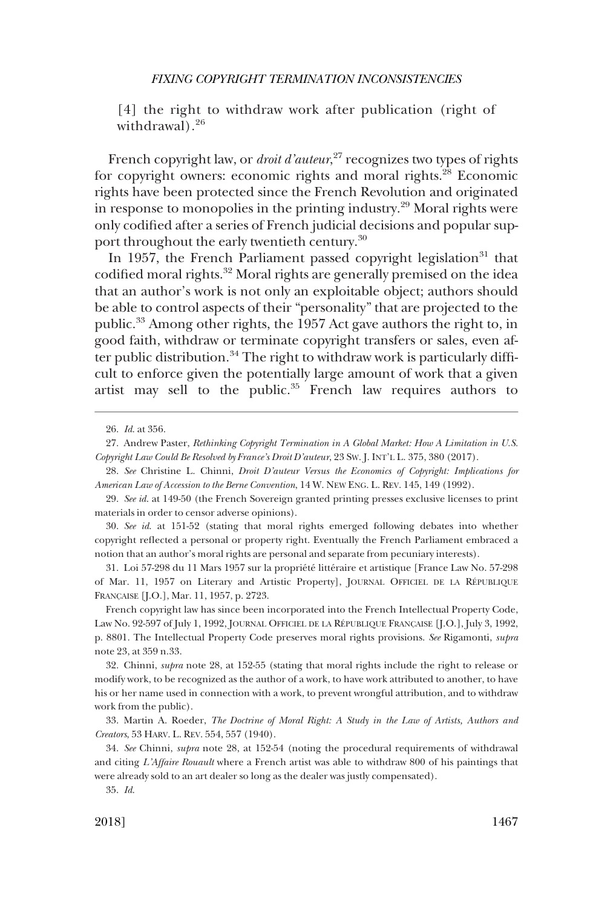[4] the right to withdraw work after publication (right of withdrawal).<sup>26</sup>

French copyright law, or *droit d'auteur*, 27 recognizes two types of rights for copyright owners: economic rights and moral rights.28 Economic rights have been protected since the French Revolution and originated in response to monopolies in the printing industry.<sup>29</sup> Moral rights were only codified after a series of French judicial decisions and popular support throughout the early twentieth century.<sup>30</sup>

In 1957, the French Parliament passed copyright legislation<sup>31</sup> that codified moral rights.32 Moral rights are generally premised on the idea that an author's work is not only an exploitable object; authors should be able to control aspects of their "personality" that are projected to the public.33 Among other rights, the 1957 Act gave authors the right to, in good faith, withdraw or terminate copyright transfers or sales, even after public distribution.<sup>34</sup> The right to withdraw work is particularly difficult to enforce given the potentially large amount of work that a given artist may sell to the public.<sup>35</sup> French law requires authors to

*See id*. at 151-52 (stating that moral rights emerged following debates into whether 30. copyright reflected a personal or property right. Eventually the French Parliament embraced a notion that an author's moral rights are personal and separate from pecuniary interests).

31. Loi 57-298 du 11 Mars 1957 sur la propriété littéraire et artistique [France Law No. 57-298 of Mar. 11, 1957 on Literary and Artistic Property], JOURNAL OFFICIEL DE LA RÉPUBLIQUE FRANÇAISE [J.O.], Mar. 11, 1957, p. 2723.

French copyright law has since been incorporated into the French Intellectual Property Code, Law No. 92-597 of July 1, 1992, JOURNAL OFFICIEL DE LA RÉPUBLIQUE FRANÇAISE [J.O.], July 3, 1992, p. 8801. The Intellectual Property Code preserves moral rights provisions. *See* Rigamonti, *supra*  note 23, at 359 n.33.

Chinni, *supra* note 28, at 152-55 (stating that moral rights include the right to release or 32. modify work, to be recognized as the author of a work, to have work attributed to another, to have his or her name used in connection with a work, to prevent wrongful attribution, and to withdraw work from the public).

Martin A. Roeder, *The Doctrine of Moral Right: A Study in the Law of Artists, Authors and*  33. *Creators*, 53 HARV. L. REV. 554, 557 (1940).

34. *See* Chinni, *supra* note 28, at 152-54 (noting the procedural requirements of withdrawal and citing *L'Affaire Rouault* where a French artist was able to withdraw 800 of his paintings that were already sold to an art dealer so long as the dealer was justly compensated).

35. *Id*.

*Id*. at 356. 26.

<sup>27.</sup> Andrew Paster, *Rethinking Copyright Termination in A Global Market: How A Limitation in U.S. Copyright Law Could Be Resolved by France's Droit D'auteur*, 23 SW. J. INT'L L. 375, 380 (2017).

*See* Christine L. Chinni, *Droit D'auteur Versus the Economics of Copyright: Implications for*  28. *American Law of Accession to the Berne Convention*, 14 W. NEW ENG. L. REV. 145, 149 (1992).

*See id*. at 149-50 (the French Sovereign granted printing presses exclusive licenses to print 29. materials in order to censor adverse opinions).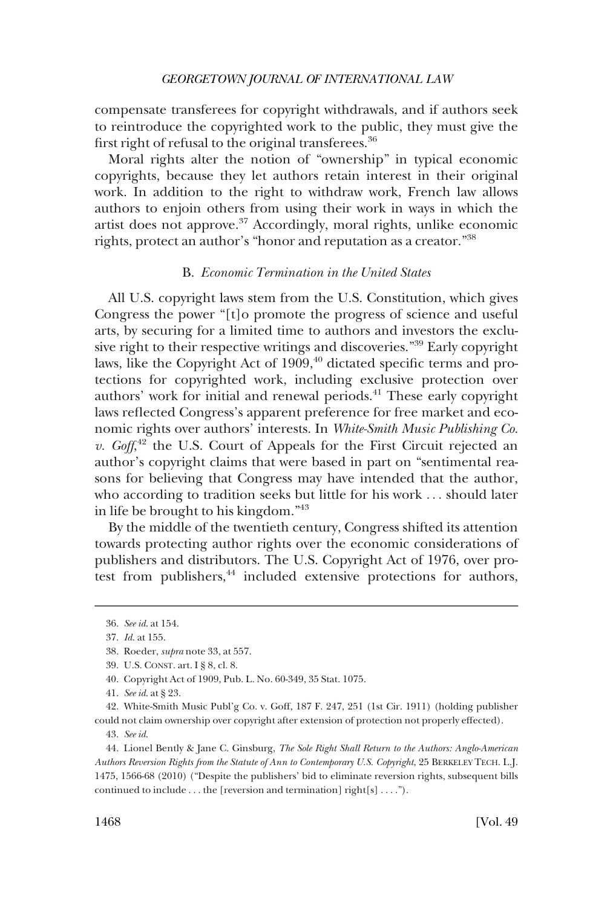<span id="page-7-0"></span>compensate transferees for copyright withdrawals, and if authors seek to reintroduce the copyrighted work to the public, they must give the first right of refusal to the original transferees.<sup>36</sup>

Moral rights alter the notion of "ownership" in typical economic copyrights, because they let authors retain interest in their original work. In addition to the right to withdraw work, French law allows authors to enjoin others from using their work in ways in which the artist does not approve.37 Accordingly, moral rights, unlike economic rights, protect an author's "honor and reputation as a creator."38

### B. *Economic Termination in the United States*

All U.S. copyright laws stem from the U.S. Constitution, which gives Congress the power "[t]o promote the progress of science and useful arts, by securing for a limited time to authors and investors the exclusive right to their respective writings and discoveries."39 Early copyright laws, like the Copyright Act of 1909,<sup>40</sup> dictated specific terms and protections for copyrighted work, including exclusive protection over authors' work for initial and renewal periods.41 These early copyright laws reflected Congress's apparent preference for free market and economic rights over authors' interests. In *White-Smith Music Publishing Co. v. Goff*<sup>42</sup> the U.S. Court of Appeals for the First Circuit rejected an author's copyright claims that were based in part on "sentimental reasons for believing that Congress may have intended that the author, who according to tradition seeks but little for his work . . . should later in life be brought to his kingdom."43

By the middle of the twentieth century, Congress shifted its attention towards protecting author rights over the economic considerations of publishers and distributors. The U.S. Copyright Act of 1976, over protest from publishers, $44$  included extensive protections for authors,

*See id*. at 154. 36.

*Id*. at 155. 37.

Roeder, *supra* note 33, at 557. 38.

U.S. CONST. art. I § 8, cl. 8. 39.

Copyright Act of 1909, Pub. L. No. 60-349, 35 Stat. 1075. 40.

*See id*. at § 23. 41.

White-Smith Music Publ'g Co. v. Goff, 187 F. 247, 251 (1st Cir. 1911) (holding publisher 42. could not claim ownership over copyright after extension of protection not properly effected).

*See id*. 43.

Lionel Bently & Jane C. Ginsburg, *The Sole Right Shall Return to the Authors: Anglo-American*  44. *Authors Reversion Rights from the Statute of Ann to Contemporary U.S. Copyright*, 25 BERKELEY TECH. L.J. 1475, 1566-68 (2010) ("Despite the publishers' bid to eliminate reversion rights, subsequent bills continued to include . . . the [reversion and termination] right[s] . . . .").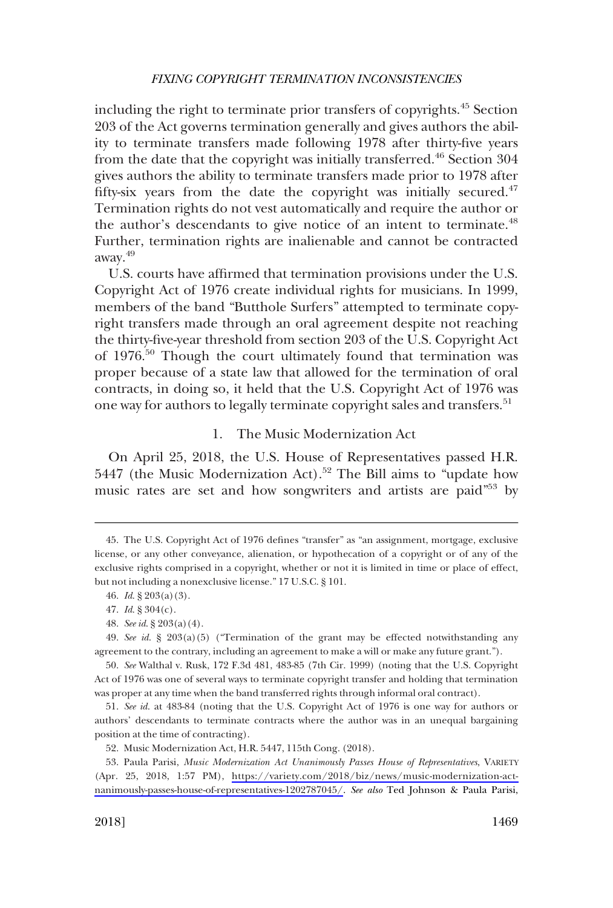<span id="page-8-0"></span>including the right to terminate prior transfers of copyrights.45 Section 203 of the Act governs termination generally and gives authors the ability to terminate transfers made following 1978 after thirty-five years from the date that the copyright was initially transferred.<sup>46</sup> Section 304 gives authors the ability to terminate transfers made prior to 1978 after fifty-six years from the date the copyright was initially secured. $47$ Termination rights do not vest automatically and require the author or the author's descendants to give notice of an intent to terminate.<sup>48</sup> Further, termination rights are inalienable and cannot be contracted away.49

U.S. courts have affirmed that termination provisions under the U.S. Copyright Act of 1976 create individual rights for musicians. In 1999, members of the band "Butthole Surfers" attempted to terminate copyright transfers made through an oral agreement despite not reaching the thirty-five-year threshold from section 203 of the U.S. Copyright Act of 1976.50 Though the court ultimately found that termination was proper because of a state law that allowed for the termination of oral contracts, in doing so, it held that the U.S. Copyright Act of 1976 was one way for authors to legally terminate copyright sales and transfers.<sup>51</sup>

### 1. The Music Modernization Act

On April 25, 2018, the U.S. House of Representatives passed H.R. 5447 (the Music Modernization Act).<sup>52</sup> The Bill aims to "update how music rates are set and how songwriters and artists are paid"<sup>53</sup> by

The U.S. Copyright Act of 1976 defines "transfer" as "an assignment, mortgage, exclusive 45. license, or any other conveyance, alienation, or hypothecation of a copyright or of any of the exclusive rights comprised in a copyright, whether or not it is limited in time or place of effect, but not including a nonexclusive license." 17 U.S.C. § 101.

*Id*. § 203(a)(3). 46.

*Id*. § 304(c). 47.

*See id*. § 203(a)(4). 48.

*See id*. § 203(a)(5) ("Termination of the grant may be effected notwithstanding any 49. agreement to the contrary, including an agreement to make a will or make any future grant.").

*See* Walthal v. Rusk, 172 F.3d 481, 483-85 (7th Cir. 1999) (noting that the U.S. Copyright 50. Act of 1976 was one of several ways to terminate copyright transfer and holding that termination was proper at any time when the band transferred rights through informal oral contract).

<sup>51.</sup> See id. at 483-84 (noting that the U.S. Copyright Act of 1976 is one way for authors or authors' descendants to terminate contracts where the author was in an unequal bargaining position at the time of contracting).

<sup>52.</sup> Music Modernization Act, H.R. 5447, 115th Cong. (2018).

<sup>53.</sup> Paula Parisi, *Music Modernization Act Unanimously Passes House of Representatives*, VARIETY (Apr. 25, 2018, 1:57 PM), [https://variety.com/2018/biz/news/music-modernization-act](https://variety.com/2018/biz/news/music-modernization-act-unanimously-passes-house-of-representatives-1202787045/)[nanimously-passes-house-of-representatives-1202787045/](https://variety.com/2018/biz/news/music-modernization-act-unanimously-passes-house-of-representatives-1202787045/). *See also* Ted Johnson & Paula Parisi,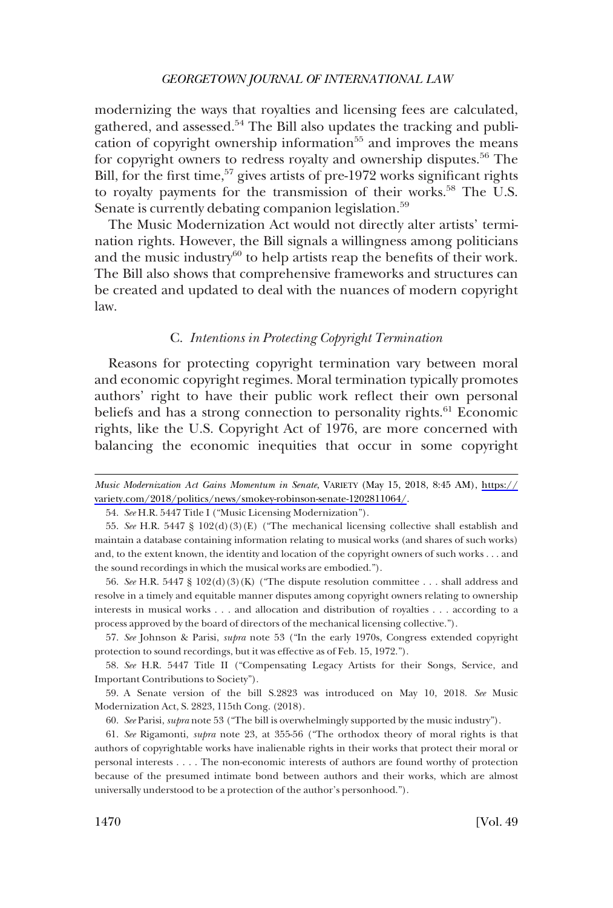<span id="page-9-0"></span>modernizing the ways that royalties and licensing fees are calculated, gathered, and assessed. $54$  The Bill also updates the tracking and publication of copyright ownership information $55$  and improves the means for copyright owners to redress royalty and ownership disputes.<sup>56</sup> The Bill, for the first time,  $57$  gives artists of pre-1972 works significant rights to royalty payments for the transmission of their works.<sup>58</sup> The U.S. Senate is currently debating companion legislation.<sup>59</sup>

The Music Modernization Act would not directly alter artists' termination rights. However, the Bill signals a willingness among politicians and the music industry $60$  to help artists reap the benefits of their work. The Bill also shows that comprehensive frameworks and structures can be created and updated to deal with the nuances of modern copyright law.

#### C. *Intentions in Protecting Copyright Termination*

Reasons for protecting copyright termination vary between moral and economic copyright regimes. Moral termination typically promotes authors' right to have their public work reflect their own personal beliefs and has a strong connection to personality rights.<sup>61</sup> Economic rights, like the U.S. Copyright Act of 1976, are more concerned with balancing the economic inequities that occur in some copyright

56. *See* H.R. 5447 § 102(d)(3)(K) ("The dispute resolution committee . . . shall address and resolve in a timely and equitable manner disputes among copyright owners relating to ownership interests in musical works . . . and allocation and distribution of royalties . . . according to a process approved by the board of directors of the mechanical licensing collective.").

57. *See* Johnson & Parisi, *supra* note 53 ("In the early 1970s, Congress extended copyright protection to sound recordings, but it was effective as of Feb. 15, 1972.").

58. *See* H.R. 5447 Title II ("Compensating Legacy Artists for their Songs, Service, and Important Contributions to Society").

59. A Senate version of the bill S.2823 was introduced on May 10, 2018. *See* Music Modernization Act, S. 2823, 115th Cong. (2018).

60. *See* Parisi, *supra* note 53 ("The bill is overwhelmingly supported by the music industry").

61. *See* Rigamonti, *supra* note 23, at 355-56 ("The orthodox theory of moral rights is that authors of copyrightable works have inalienable rights in their works that protect their moral or personal interests . . . . The non-economic interests of authors are found worthy of protection because of the presumed intimate bond between authors and their works, which are almost universally understood to be a protection of the author's personhood.").

*Music Modernization Act Gains Momentum in Senate*, VARIETY (May 15, 2018, 8:45 AM), [https://](https://variety.com/2018/politics/news/smokey-robinson-senate-1202811064/) [variety.com/2018/politics/news/smokey-robinson-senate-1202811064/.](https://variety.com/2018/politics/news/smokey-robinson-senate-1202811064/)

<sup>54.</sup>  *See* H.R. 5447 Title I ("Music Licensing Modernization").

<sup>55.</sup>  *See* H.R. 5447 § 102(d)(3)(E) ("The mechanical licensing collective shall establish and maintain a database containing information relating to musical works (and shares of such works) and, to the extent known, the identity and location of the copyright owners of such works . . . and the sound recordings in which the musical works are embodied.").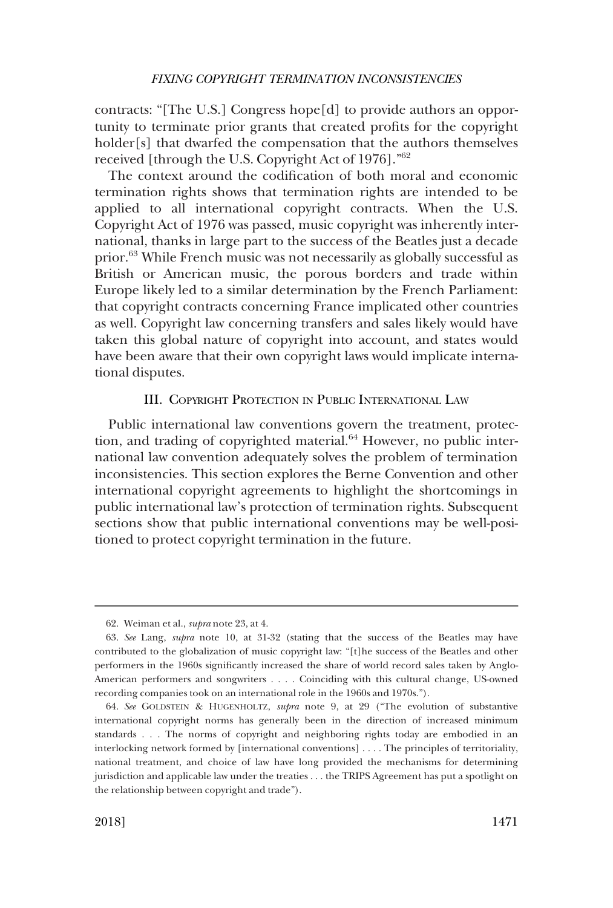<span id="page-10-0"></span>contracts: "[The U.S.] Congress hope[d] to provide authors an opportunity to terminate prior grants that created profits for the copyright holder[s] that dwarfed the compensation that the authors themselves received [through the U.S. Copyright Act of 1976]."62

The context around the codification of both moral and economic termination rights shows that termination rights are intended to be applied to all international copyright contracts. When the U.S. Copyright Act of 1976 was passed, music copyright was inherently international, thanks in large part to the success of the Beatles just a decade prior.63 While French music was not necessarily as globally successful as British or American music, the porous borders and trade within Europe likely led to a similar determination by the French Parliament: that copyright contracts concerning France implicated other countries as well. Copyright law concerning transfers and sales likely would have taken this global nature of copyright into account, and states would have been aware that their own copyright laws would implicate international disputes.

### III. COPYRIGHT PROTECTION IN PUBLIC INTERNATIONAL LAW

Public international law conventions govern the treatment, protection, and trading of copyrighted material. $64$  However, no public international law convention adequately solves the problem of termination inconsistencies. This section explores the Berne Convention and other international copyright agreements to highlight the shortcomings in public international law's protection of termination rights. Subsequent sections show that public international conventions may be well-positioned to protect copyright termination in the future.

<sup>62.</sup>  Weiman et al., *supra* note 23, at 4.

<sup>63.</sup>  *See* Lang, *supra* note 10, at 31-32 (stating that the success of the Beatles may have contributed to the globalization of music copyright law: "[t]he success of the Beatles and other performers in the 1960s significantly increased the share of world record sales taken by Anglo-American performers and songwriters . . . . Coinciding with this cultural change, US-owned recording companies took on an international role in the 1960s and 1970s.").

<sup>64.</sup>  *See* GOLDSTEIN & HUGENHOLTZ, *supra* note 9, at 29 ("The evolution of substantive international copyright norms has generally been in the direction of increased minimum standards . . . The norms of copyright and neighboring rights today are embodied in an interlocking network formed by [international conventions] . . . . The principles of territoriality, national treatment, and choice of law have long provided the mechanisms for determining jurisdiction and applicable law under the treaties . . . the TRIPS Agreement has put a spotlight on the relationship between copyright and trade").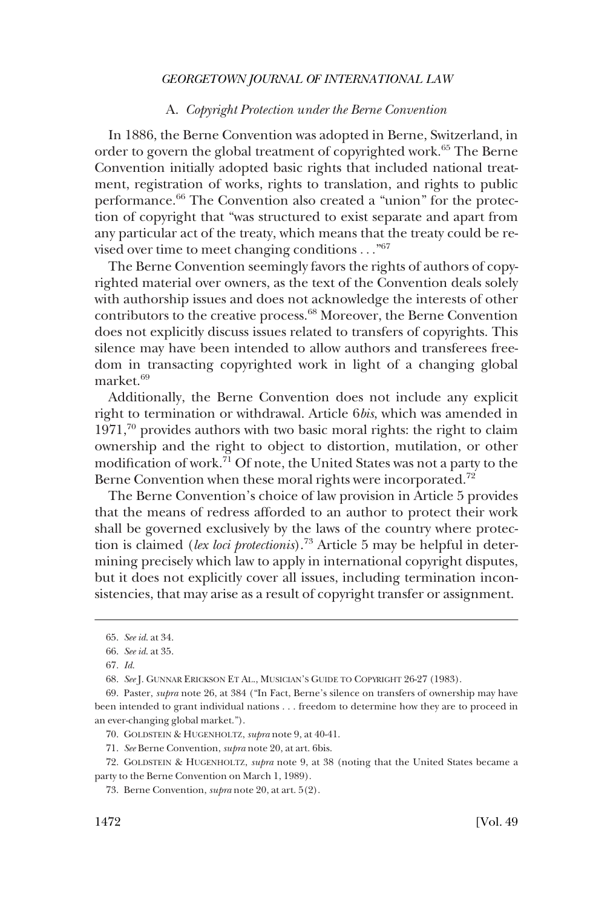#### A. *Copyright Protection under the Berne Convention*

<span id="page-11-0"></span>In 1886, the Berne Convention was adopted in Berne, Switzerland, in order to govern the global treatment of copyrighted work.<sup>65</sup> The Berne Convention initially adopted basic rights that included national treatment, registration of works, rights to translation, and rights to public performance.<sup>66</sup> The Convention also created a "union" for the protection of copyright that "was structured to exist separate and apart from any particular act of the treaty, which means that the treaty could be revised over time to meet changing conditions . . . "<sup>67</sup>

The Berne Convention seemingly favors the rights of authors of copyrighted material over owners, as the text of the Convention deals solely with authorship issues and does not acknowledge the interests of other contributors to the creative process.<sup>68</sup> Moreover, the Berne Convention does not explicitly discuss issues related to transfers of copyrights. This silence may have been intended to allow authors and transferees freedom in transacting copyrighted work in light of a changing global market.<sup>69</sup>

Additionally, the Berne Convention does not include any explicit right to termination or withdrawal. Article 6*bis*, which was amended in  $1971<sup>70</sup>$  provides authors with two basic moral rights: the right to claim ownership and the right to object to distortion, mutilation, or other modification of work.71 Of note, the United States was not a party to the Berne Convention when these moral rights were incorporated.<sup>72</sup>

The Berne Convention's choice of law provision in Article 5 provides that the means of redress afforded to an author to protect their work shall be governed exclusively by the laws of the country where protection is claimed (*lex loci protectionis*).73 Article 5 may be helpful in determining precisely which law to apply in international copyright disputes, but it does not explicitly cover all issues, including termination inconsistencies, that may arise as a result of copyright transfer or assignment.

<sup>65.</sup>  *See id*. at 34.

<sup>66.</sup>  *See id*. at 35.

<sup>67.</sup>  *Id*.

<sup>68.</sup>  *See* J. GUNNAR ERICKSON ET AL., MUSICIAN'S GUIDE TO COPYRIGHT 26-27 (1983).

<sup>69.</sup>  Paster, *supra* note 26, at 384 ("In Fact, Berne's silence on transfers of ownership may have been intended to grant individual nations . . . freedom to determine how they are to proceed in an ever-changing global market.").

<sup>70.</sup>  GOLDSTEIN & HUGENHOLTZ, *supra* note 9, at 40-41.

<sup>71.</sup>  *See* Berne Convention, *supra* note 20, at art. 6bis.

<sup>72.</sup>  GOLDSTEIN & HUGENHOLTZ, *supra* note 9, at 38 (noting that the United States became a party to the Berne Convention on March 1, 1989).

<sup>73.</sup>  Berne Convention, *supra* note 20, at art. 5(2).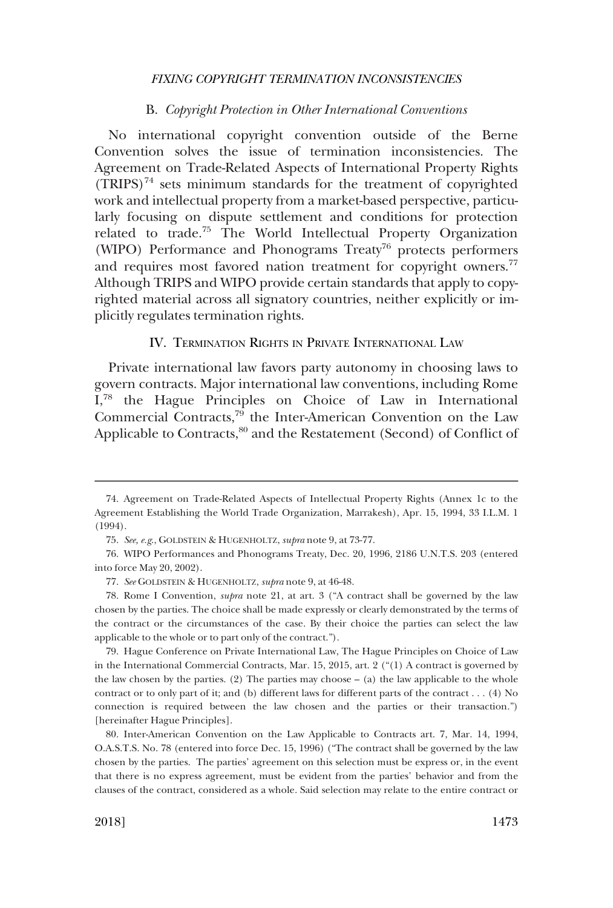#### B. *Copyright Protection in Other International Conventions*

<span id="page-12-0"></span>No international copyright convention outside of the Berne Convention solves the issue of termination inconsistencies. The Agreement on Trade-Related Aspects of International Property Rights  $(TRIPS)^{74}$  sets minimum standards for the treatment of copyrighted work and intellectual property from a market-based perspective, particularly focusing on dispute settlement and conditions for protection related to trade.75 The World Intellectual Property Organization (WIPO) Performance and Phonograms Treaty<sup>76</sup> protects performers and requires most favored nation treatment for copyright owners.<sup>77</sup> Although TRIPS and WIPO provide certain standards that apply to copyrighted material across all signatory countries, neither explicitly or implicitly regulates termination rights.

### IV. TERMINATION RIGHTS IN PRIVATE INTERNATIONAL LAW

Private international law favors party autonomy in choosing laws to govern contracts. Major international law conventions, including Rome I,78 the Hague Principles on Choice of Law in International Commercial Contracts,79 the Inter-American Convention on the Law Applicable to Contracts,<sup>80</sup> and the Restatement (Second) of Conflict of

79. Hague Conference on Private International Law, The Hague Principles on Choice of Law in the International Commercial Contracts, Mar. 15, 2015, art. 2 ("(1) A contract is governed by the law chosen by the parties. (2) The parties may choose  $-$  (a) the law applicable to the whole contract or to only part of it; and (b) different laws for different parts of the contract . . . (4) No connection is required between the law chosen and the parties or their transaction.") [hereinafter Hague Principles].

80. Inter-American Convention on the Law Applicable to Contracts art. 7, Mar. 14, 1994, O.A.S.T.S. No. 78 (entered into force Dec. 15, 1996) ("The contract shall be governed by the law chosen by the parties. The parties' agreement on this selection must be express or, in the event that there is no express agreement, must be evident from the parties' behavior and from the clauses of the contract, considered as a whole. Said selection may relate to the entire contract or

<sup>74.</sup> Agreement on Trade-Related Aspects of Intellectual Property Rights (Annex 1c to the Agreement Establishing the World Trade Organization, Marrakesh), Apr. 15, 1994, 33 I.L.M. 1 (1994).

*See, e.g*., GOLDSTEIN & HUGENHOLTZ, *supra* note 9, at 73-77. 75.

WIPO Performances and Phonograms Treaty, Dec. 20, 1996, 2186 U.N.T.S. 203 (entered 76. into force May 20, 2002).

*See* GOLDSTEIN & HUGENHOLTZ, *supra* note 9, at 46-48. 77.

<sup>78.</sup> Rome I Convention, *supra* note 21, at art. 3 ("A contract shall be governed by the law chosen by the parties. The choice shall be made expressly or clearly demonstrated by the terms of the contract or the circumstances of the case. By their choice the parties can select the law applicable to the whole or to part only of the contract.").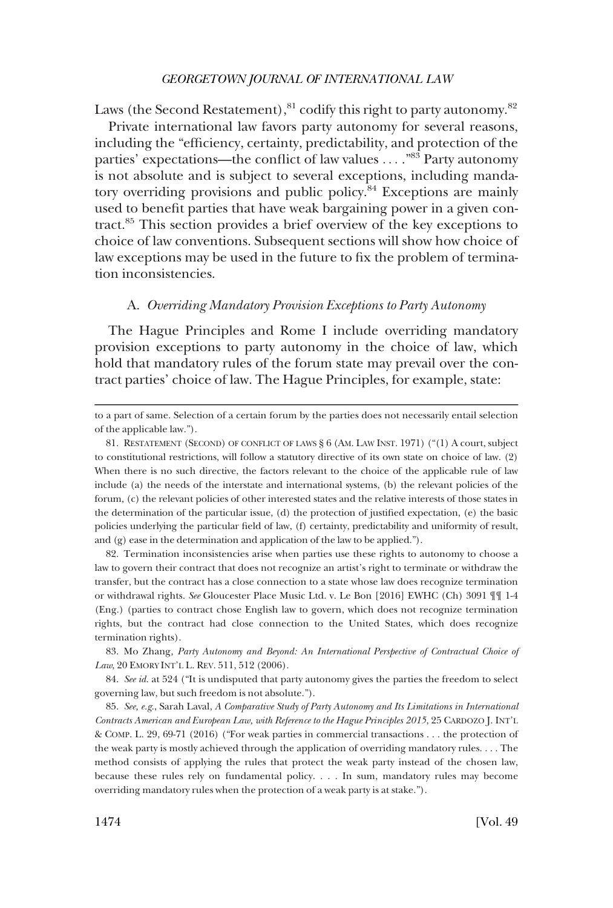<span id="page-13-0"></span>Laws (the Second Restatement),  $81$  codify this right to party autonomy.  $82$ 

Private international law favors party autonomy for several reasons, including the "efficiency, certainty, predictability, and protection of the parties' expectations—the conflict of law values . . . . "83 Party autonomy is not absolute and is subject to several exceptions, including mandatory overriding provisions and public policy.<sup>84</sup> Exceptions are mainly used to benefit parties that have weak bargaining power in a given contract.85 This section provides a brief overview of the key exceptions to choice of law conventions. Subsequent sections will show how choice of law exceptions may be used in the future to fix the problem of termination inconsistencies.

#### A. *Overriding Mandatory Provision Exceptions to Party Autonomy*

The Hague Principles and Rome I include overriding mandatory provision exceptions to party autonomy in the choice of law, which hold that mandatory rules of the forum state may prevail over the contract parties' choice of law. The Hague Principles, for example, state:

82. Termination inconsistencies arise when parties use these rights to autonomy to choose a law to govern their contract that does not recognize an artist's right to terminate or withdraw the transfer, but the contract has a close connection to a state whose law does recognize termination or withdrawal rights. *See* Gloucester Place Music Ltd. v. Le Bon [2016] EWHC (Ch) 3091 ¶¶ 1-4 (Eng.) (parties to contract chose English law to govern, which does not recognize termination rights, but the contract had close connection to the United States, which does recognize termination rights).

83. Mo Zhang, Party Autonomy and Beyond: An International Perspective of Contractual Choice of *Law*, 20 EMORY INT'L L. REV. 511, 512 (2006).

84. *See id*. at 524 ("It is undisputed that party autonomy gives the parties the freedom to select governing law, but such freedom is not absolute.").

85. *See, e.g*., Sarah Laval, *A Comparative Study of Party Autonomy and Its Limitations in International Contracts American and European Law, with Reference to the Hague Principles 2015*, 25 CARDOZO J. INT'L & COMP. L. 29, 69-71 (2016) ("For weak parties in commercial transactions . . . the protection of the weak party is mostly achieved through the application of overriding mandatory rules. . . . The method consists of applying the rules that protect the weak party instead of the chosen law, because these rules rely on fundamental policy. . . . In sum, mandatory rules may become overriding mandatory rules when the protection of a weak party is at stake.").

to a part of same. Selection of a certain forum by the parties does not necessarily entail selection of the applicable law.").

<sup>81.</sup>  RESTATEMENT (SECOND) OF CONFLICT OF LAWS § 6 (AM. LAW INST. 1971) ("(1) A court, subject to constitutional restrictions, will follow a statutory directive of its own state on choice of law. (2) When there is no such directive, the factors relevant to the choice of the applicable rule of law include (a) the needs of the interstate and international systems, (b) the relevant policies of the forum, (c) the relevant policies of other interested states and the relative interests of those states in the determination of the particular issue, (d) the protection of justified expectation, (e) the basic policies underlying the particular field of law, (f) certainty, predictability and uniformity of result, and (g) ease in the determination and application of the law to be applied.").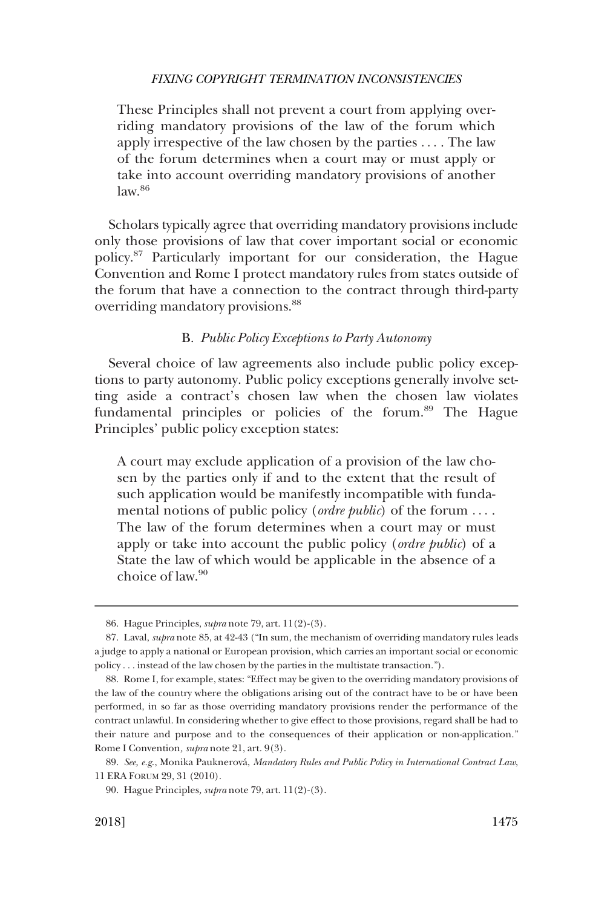<span id="page-14-0"></span>These Principles shall not prevent a court from applying overriding mandatory provisions of the law of the forum which apply irrespective of the law chosen by the parties . . . . The law of the forum determines when a court may or must apply or take into account overriding mandatory provisions of another  $law<sup>86</sup>$ 

Scholars typically agree that overriding mandatory provisions include only those provisions of law that cover important social or economic policy.87 Particularly important for our consideration, the Hague Convention and Rome I protect mandatory rules from states outside of the forum that have a connection to the contract through third-party overriding mandatory provisions.<sup>88</sup>

### B. *Public Policy Exceptions to Party Autonomy*

Several choice of law agreements also include public policy exceptions to party autonomy. Public policy exceptions generally involve setting aside a contract's chosen law when the chosen law violates fundamental principles or policies of the forum.<sup>89</sup> The Hague Principles' public policy exception states:

A court may exclude application of a provision of the law chosen by the parties only if and to the extent that the result of such application would be manifestly incompatible with fundamental notions of public policy (*ordre public*) of the forum . . . . The law of the forum determines when a court may or must apply or take into account the public policy (*ordre public*) of a State the law of which would be applicable in the absence of a choice of law.<sup>90</sup>

<sup>86.</sup> Hague Principles, *supra* note 79, art. 11(2)-(3).

<sup>87.</sup> Laval, *supra* note 85, at 42-43 ("In sum, the mechanism of overriding mandatory rules leads a judge to apply a national or European provision, which carries an important social or economic policy . . . instead of the law chosen by the parties in the multistate transaction.").

<sup>88.</sup> Rome I, for example, states: "Effect may be given to the overriding mandatory provisions of the law of the country where the obligations arising out of the contract have to be or have been performed, in so far as those overriding mandatory provisions render the performance of the contract unlawful. In considering whether to give effect to those provisions, regard shall be had to their nature and purpose and to the consequences of their application or non-application." Rome I Convention*, supra* note 21, art. 9(3).

<sup>89.</sup> See, e.g., Monika Pauknerová, *Mandatory Rules and Public Policy in International Contract Law*, 11 ERA FORUM 29, 31 (2010).

Hague Principles*, supra* note 79, art. 11(2)-(3). 90.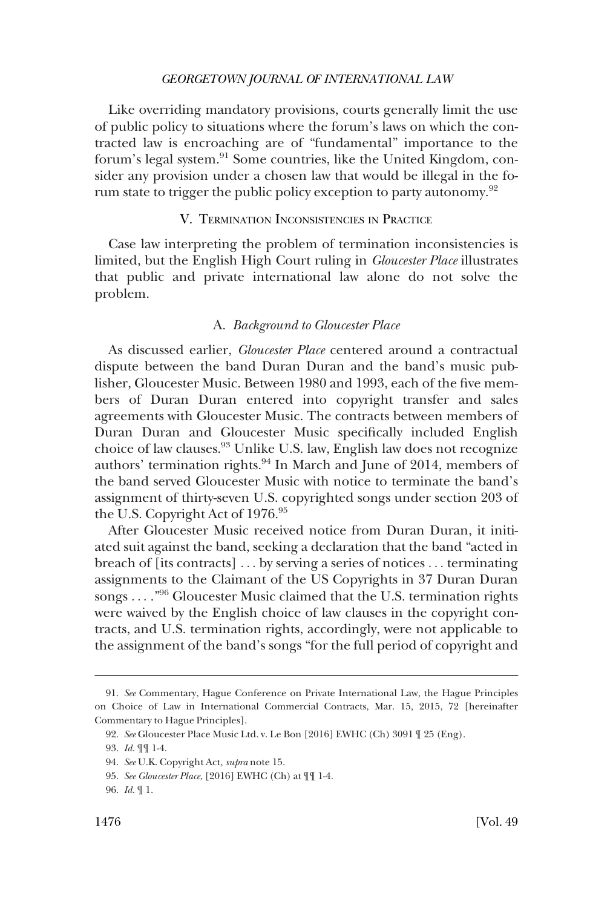<span id="page-15-0"></span>Like overriding mandatory provisions, courts generally limit the use of public policy to situations where the forum's laws on which the contracted law is encroaching are of "fundamental" importance to the forum's legal system.<sup>91</sup> Some countries, like the United Kingdom, consider any provision under a chosen law that would be illegal in the forum state to trigger the public policy exception to party autonomy.<sup>92</sup>

### V. TERMINATION INCONSISTENCIES IN PRACTICE

Case law interpreting the problem of termination inconsistencies is limited, but the English High Court ruling in *Gloucester Place* illustrates that public and private international law alone do not solve the problem.

### A. *Background to Gloucester Place*

As discussed earlier, *Gloucester Place* centered around a contractual dispute between the band Duran Duran and the band's music publisher, Gloucester Music. Between 1980 and 1993, each of the five members of Duran Duran entered into copyright transfer and sales agreements with Gloucester Music. The contracts between members of Duran Duran and Gloucester Music specifically included English choice of law clauses.93 Unlike U.S. law, English law does not recognize authors' termination rights.<sup>94</sup> In March and June of 2014, members of the band served Gloucester Music with notice to terminate the band's assignment of thirty-seven U.S. copyrighted songs under section 203 of the U.S. Copyright Act of 1976.<sup>95</sup>

After Gloucester Music received notice from Duran Duran, it initiated suit against the band, seeking a declaration that the band "acted in breach of [its contracts] . . . by serving a series of notices . . . terminating assignments to the Claimant of the US Copyrights in 37 Duran Duran songs . . . ."96 Gloucester Music claimed that the U.S. termination rights were waived by the English choice of law clauses in the copyright contracts, and U.S. termination rights, accordingly, were not applicable to the assignment of the band's songs "for the full period of copyright and

*See* Commentary, Hague Conference on Private International Law, the Hague Principles 91. on Choice of Law in International Commercial Contracts, Mar. 15, 2015, 72 [hereinafter Commentary to Hague Principles].

*See* Gloucester Place Music Ltd. v. Le Bon [2016] EWHC (Ch) 3091 ¶ 25 (Eng). 92.

<sup>93.</sup> *Id.*  $\P\P$  1-4.

*See* U.K. Copyright Act*, supra* note 15. 94.

*See Gloucester Place*, [2016] EWHC (Ch) at ¶¶ 1-4. 95.

*Id*. ¶ 1. 96.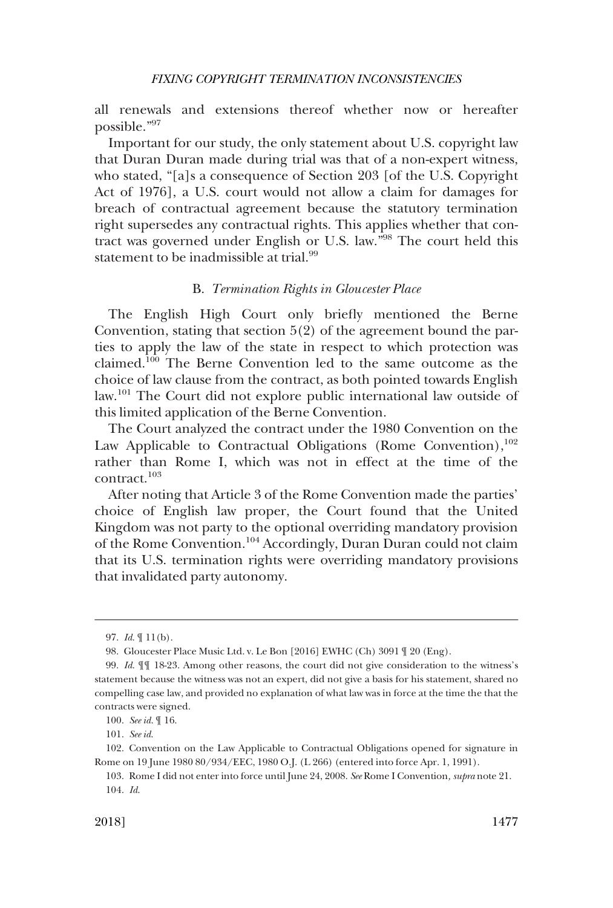<span id="page-16-0"></span>all renewals and extensions thereof whether now or hereafter possible."<sup>97</sup>

Important for our study, the only statement about U.S. copyright law that Duran Duran made during trial was that of a non-expert witness, who stated, "[a]s a consequence of Section 203 [of the U.S. Copyright Act of 1976], a U.S. court would not allow a claim for damages for breach of contractual agreement because the statutory termination right supersedes any contractual rights. This applies whether that contract was governed under English or U.S. law."98 The court held this statement to be inadmissible at trial.<sup>99</sup>

#### B. *Termination Rights in Gloucester Place*

The English High Court only briefly mentioned the Berne Convention, stating that section 5(2) of the agreement bound the parties to apply the law of the state in respect to which protection was claimed.100 The Berne Convention led to the same outcome as the choice of law clause from the contract, as both pointed towards English law.101 The Court did not explore public international law outside of this limited application of the Berne Convention.

The Court analyzed the contract under the 1980 Convention on the Law Applicable to Contractual Obligations (Rome Convention), $102$ rather than Rome I, which was not in effect at the time of the contract.<sup>103</sup>

After noting that Article 3 of the Rome Convention made the parties' choice of English law proper, the Court found that the United Kingdom was not party to the optional overriding mandatory provision of the Rome Convention.104 Accordingly, Duran Duran could not claim that its U.S. termination rights were overriding mandatory provisions that invalidated party autonomy.

<sup>97.</sup>  *Id*. ¶ 11(b).

<sup>98.</sup>  Gloucester Place Music Ltd. v. Le Bon [2016] EWHC (Ch) 3091 ¶ 20 (Eng).

<sup>99.</sup>  *Id*. ¶¶ 18-23. Among other reasons, the court did not give consideration to the witness's statement because the witness was not an expert, did not give a basis for his statement, shared no compelling case law, and provided no explanation of what law was in force at the time the that the contracts were signed.

<sup>100.</sup>  *See id*. ¶ 16.

<sup>101.</sup>  *See id*.

<sup>102.</sup>  Convention on the Law Applicable to Contractual Obligations opened for signature in Rome on 19 June 1980 80/934/EEC, 1980 O.J. (L 266) (entered into force Apr. 1, 1991).

<sup>103.</sup>  Rome I did not enter into force until June 24, 2008. *See* Rome I Convention*, supra* note 21. 104. *Id*.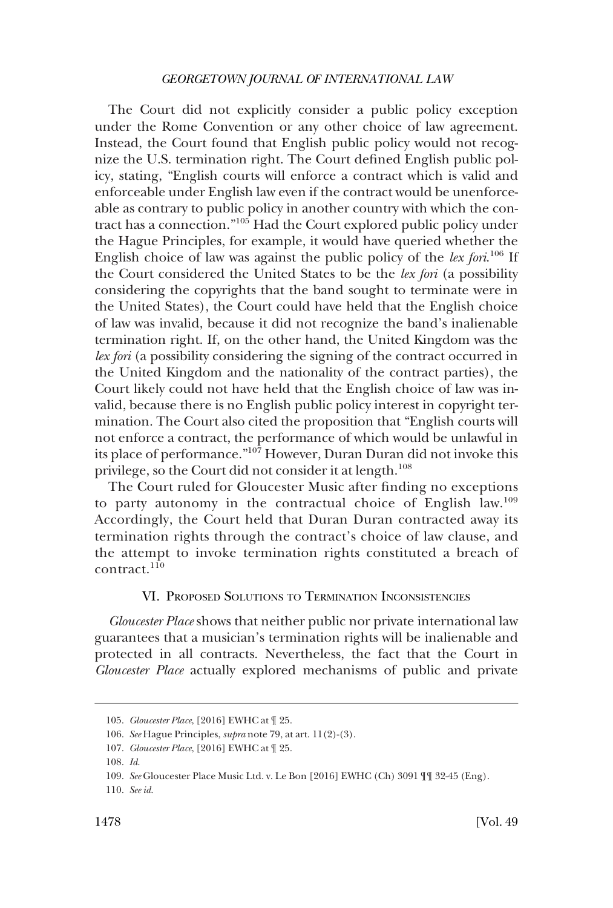<span id="page-17-0"></span>The Court did not explicitly consider a public policy exception under the Rome Convention or any other choice of law agreement. Instead, the Court found that English public policy would not recognize the U.S. termination right. The Court defined English public policy, stating, "English courts will enforce a contract which is valid and enforceable under English law even if the contract would be unenforceable as contrary to public policy in another country with which the contract has a connection."105 Had the Court explored public policy under the Hague Principles, for example, it would have queried whether the English choice of law was against the public policy of the *lex fori*. 106 If the Court considered the United States to be the *lex fori* (a possibility considering the copyrights that the band sought to terminate were in the United States), the Court could have held that the English choice of law was invalid, because it did not recognize the band's inalienable termination right. If, on the other hand, the United Kingdom was the *lex fori* (a possibility considering the signing of the contract occurred in the United Kingdom and the nationality of the contract parties), the Court likely could not have held that the English choice of law was invalid, because there is no English public policy interest in copyright termination. The Court also cited the proposition that "English courts will not enforce a contract, the performance of which would be unlawful in its place of performance."<sup>107</sup> However, Duran Duran did not invoke this privilege, so the Court did not consider it at length.<sup>108</sup>

The Court ruled for Gloucester Music after finding no exceptions to party autonomy in the contractual choice of English law.<sup>109</sup> Accordingly, the Court held that Duran Duran contracted away its termination rights through the contract's choice of law clause, and the attempt to invoke termination rights constituted a breach of contract.<sup>110</sup>

### VI. PROPOSED SOLUTIONS TO TERMINATION INCONSISTENCIES

*Gloucester Place* shows that neither public nor private international law guarantees that a musician's termination rights will be inalienable and protected in all contracts. Nevertheless, the fact that the Court in *Gloucester Place* actually explored mechanisms of public and private

<sup>105.</sup>  *Gloucester Place*, [2016] EWHC at ¶ 25.

<sup>106.</sup>  *See* Hague Principles, *supra* note 79, at art. 11(2)-(3).

<sup>107.</sup>  *Gloucester Place*, [2016] EWHC at ¶ 25.

<sup>108.</sup>  *Id*.

<sup>109.</sup>  *See* Gloucester Place Music Ltd. v. Le Bon [2016] EWHC (Ch) 3091 ¶¶ 32-45 (Eng).

<sup>110.</sup>  *See id*.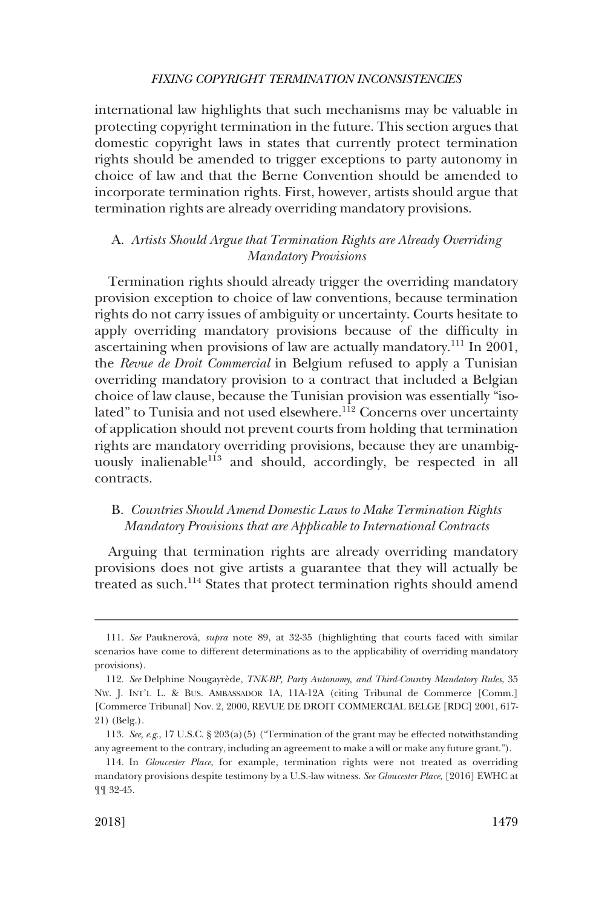<span id="page-18-0"></span>international law highlights that such mechanisms may be valuable in protecting copyright termination in the future. This section argues that domestic copyright laws in states that currently protect termination rights should be amended to trigger exceptions to party autonomy in choice of law and that the Berne Convention should be amended to incorporate termination rights. First, however, artists should argue that termination rights are already overriding mandatory provisions.

# A. *Artists Should Argue that Termination Rights are Already Overriding Mandatory Provisions*

Termination rights should already trigger the overriding mandatory provision exception to choice of law conventions, because termination rights do not carry issues of ambiguity or uncertainty. Courts hesitate to apply overriding mandatory provisions because of the difficulty in ascertaining when provisions of law are actually mandatory.111 In 2001, the *Revue de Droit Commercial* in Belgium refused to apply a Tunisian overriding mandatory provision to a contract that included a Belgian choice of law clause, because the Tunisian provision was essentially "isolated" to Tunisia and not used elsewhere.<sup>112</sup> Concerns over uncertainty of application should not prevent courts from holding that termination rights are mandatory overriding provisions, because they are unambiguously inalienable<sup>113</sup> and should, accordingly, be respected in all contracts.

## B. *Countries Should Amend Domestic Laws to Make Termination Rights Mandatory Provisions that are Applicable to International Contracts*

Arguing that termination rights are already overriding mandatory provisions does not give artists a guarantee that they will actually be treated as such.<sup>114</sup> States that protect termination rights should amend

<sup>111.</sup>  *See* Pauknerova´, *supra* note 89, at 32-35 (highlighting that courts faced with similar scenarios have come to different determinations as to the applicability of overriding mandatory provisions).

<sup>112.</sup> See Delphine Nougayrède, *TNK-BP, Party Autonomy, and Third-Country Mandatory Rules*, 35 NW. J. INT'L L. & BUS. AMBASSADOR 1A, 11A-12A (citing Tribunal de Commerce [Comm.] [Commerce Tribunal] Nov. 2, 2000, REVUE DE DROIT COMMERCIAL BELGE [RDC] 2001, 617- 21) (Belg.).

<sup>113.</sup>  *See, e.g*., 17 U.S.C. § 203(a)(5) ("Termination of the grant may be effected notwithstanding any agreement to the contrary, including an agreement to make a will or make any future grant.").

<sup>114.</sup>  In *Gloucester Place*, for example, termination rights were not treated as overriding mandatory provisions despite testimony by a U.S.-law witness. *See Gloucester Place*, [2016] EWHC at ¶¶ 32-45.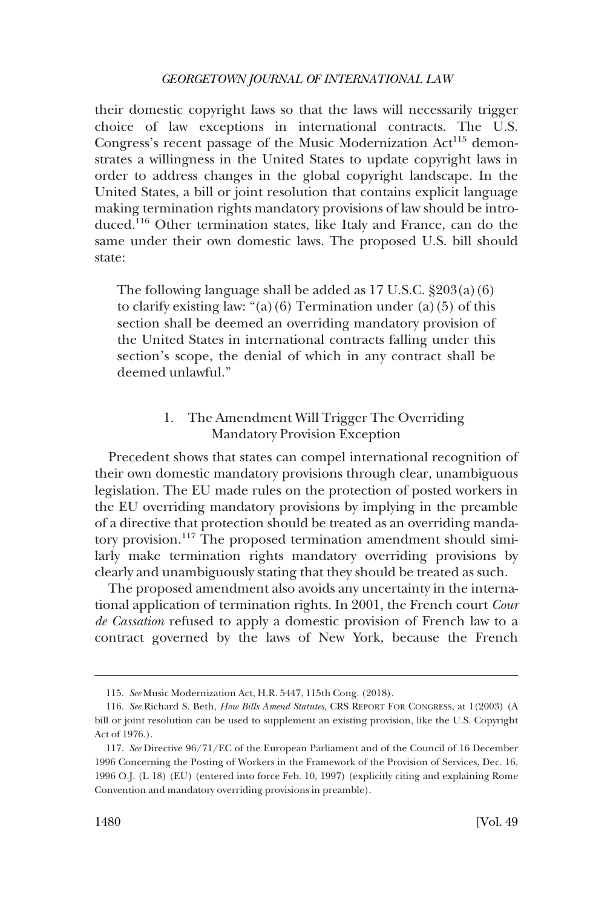<span id="page-19-0"></span>their domestic copyright laws so that the laws will necessarily trigger choice of law exceptions in international contracts. The U.S. Congress's recent passage of the Music Modernization Act<sup>115</sup> demonstrates a willingness in the United States to update copyright laws in order to address changes in the global copyright landscape. In the United States, a bill or joint resolution that contains explicit language making termination rights mandatory provisions of law should be introduced.116 Other termination states, like Italy and France, can do the same under their own domestic laws. The proposed U.S. bill should state:

The following language shall be added as 17 U.S.C. §203(a)(6) to clarify existing law: "(a)(6) Termination under (a)(5) of this section shall be deemed an overriding mandatory provision of the United States in international contracts falling under this section's scope, the denial of which in any contract shall be deemed unlawful."

# 1. The Amendment Will Trigger The Overriding Mandatory Provision Exception

Precedent shows that states can compel international recognition of their own domestic mandatory provisions through clear, unambiguous legislation. The EU made rules on the protection of posted workers in the EU overriding mandatory provisions by implying in the preamble of a directive that protection should be treated as an overriding mandatory provision.117 The proposed termination amendment should similarly make termination rights mandatory overriding provisions by clearly and unambiguously stating that they should be treated as such.

The proposed amendment also avoids any uncertainty in the international application of termination rights. In 2001, the French court *Cour de Cassation* refused to apply a domestic provision of French law to a contract governed by the laws of New York, because the French

<sup>115.</sup>  *See* Music Modernization Act, H.R. 5447, 115th Cong. (2018).

<sup>116.</sup>  *See* Richard S. Beth, *How Bills Amend Statutes*, CRS REPORT FOR CONGRESS, at 1(2003) (A bill or joint resolution can be used to supplement an existing provision, like the U.S. Copyright Act of 1976.).

<sup>117.</sup>  *See* Directive 96/71/EC of the European Parliament and of the Council of 16 December 1996 Concerning the Posting of Workers in the Framework of the Provision of Services, Dec. 16, 1996 O.J. (L 18) (EU) (entered into force Feb. 10, 1997) (explicitly citing and explaining Rome Convention and mandatory overriding provisions in preamble).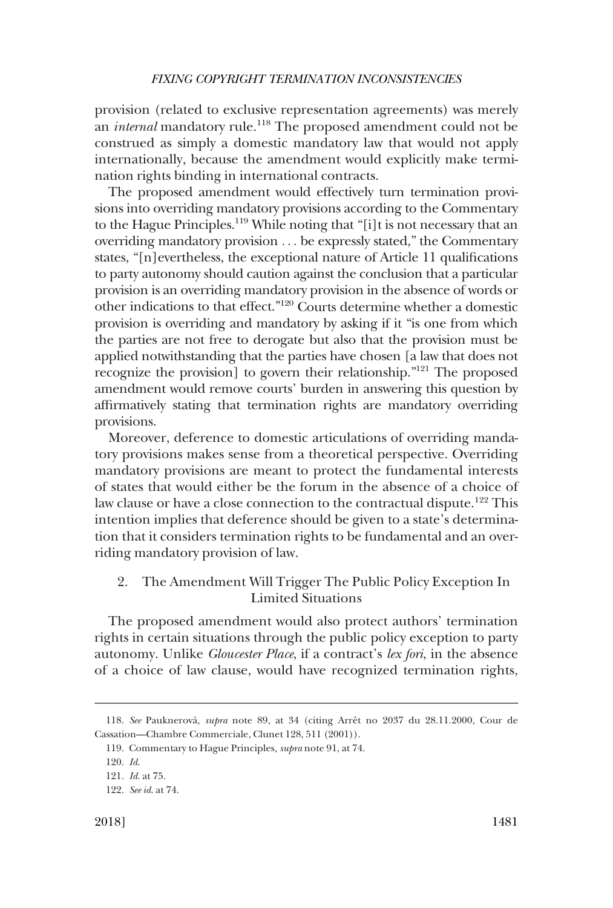<span id="page-20-0"></span>provision (related to exclusive representation agreements) was merely an *internal* mandatory rule.<sup>118</sup> The proposed amendment could not be construed as simply a domestic mandatory law that would not apply internationally, because the amendment would explicitly make termination rights binding in international contracts.

The proposed amendment would effectively turn termination provisions into overriding mandatory provisions according to the Commentary to the Hague Principles.<sup>119</sup> While noting that "[i]t is not necessary that an overriding mandatory provision . . . be expressly stated," the Commentary states, "[n]evertheless, the exceptional nature of Article 11 qualifications to party autonomy should caution against the conclusion that a particular provision is an overriding mandatory provision in the absence of words or other indications to that effect."120 Courts determine whether a domestic provision is overriding and mandatory by asking if it "is one from which the parties are not free to derogate but also that the provision must be applied notwithstanding that the parties have chosen [a law that does not recognize the provision] to govern their relationship."121 The proposed amendment would remove courts' burden in answering this question by affirmatively stating that termination rights are mandatory overriding provisions.

Moreover, deference to domestic articulations of overriding mandatory provisions makes sense from a theoretical perspective. Overriding mandatory provisions are meant to protect the fundamental interests of states that would either be the forum in the absence of a choice of law clause or have a close connection to the contractual dispute.<sup>122</sup> This intention implies that deference should be given to a state's determination that it considers termination rights to be fundamental and an overriding mandatory provision of law.

2. The Amendment Will Trigger The Public Policy Exception In Limited Situations

The proposed amendment would also protect authors' termination rights in certain situations through the public policy exception to party autonomy. Unlike *Gloucester Place*, if a contract's *lex fori*, in the absence of a choice of law clause, would have recognized termination rights,

<sup>118.</sup>  *See* Pauknerova´, *supra* note 89, at 34 (citing Arreˆt no 2037 du 28.11.2000, Cour de Cassation—Chambre Commerciale, Clunet 128, 511 (2001)).

<sup>119.</sup>  Commentary to Hague Principles*, supra* note 91, at 74.

<sup>120.</sup>  *Id*.

<sup>121.</sup>  *Id*. at 75.

<sup>122.</sup>  *See id*. at 74.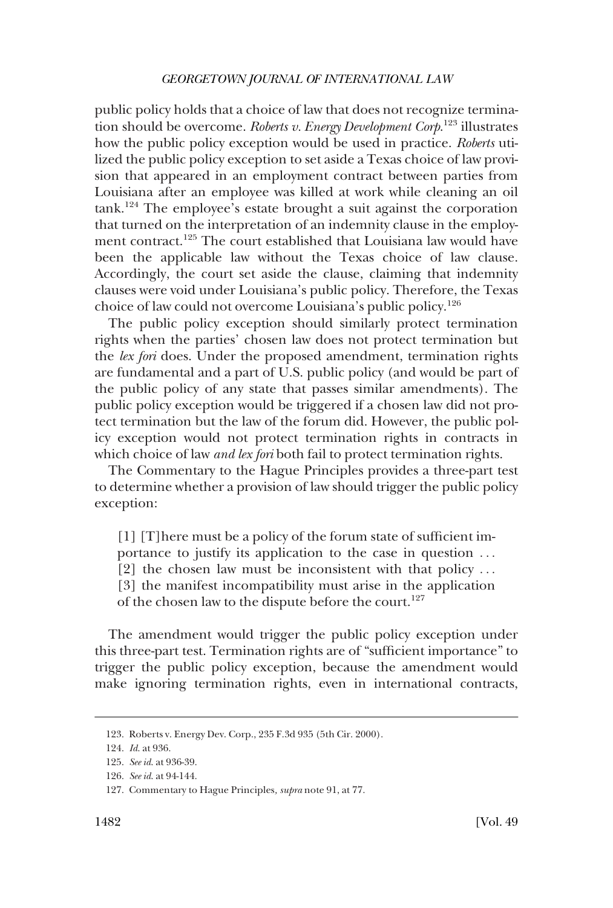public policy holds that a choice of law that does not recognize termination should be overcome. *Roberts v. Energy Development Corp*. <sup>123</sup> illustrates how the public policy exception would be used in practice. *Roberts* utilized the public policy exception to set aside a Texas choice of law provision that appeared in an employment contract between parties from Louisiana after an employee was killed at work while cleaning an oil  $tanh<sup>124</sup>$ . The employee's estate brought a suit against the corporation that turned on the interpretation of an indemnity clause in the employment contract.125 The court established that Louisiana law would have been the applicable law without the Texas choice of law clause. Accordingly, the court set aside the clause, claiming that indemnity clauses were void under Louisiana's public policy. Therefore, the Texas choice of law could not overcome Louisiana's public policy.126

The public policy exception should similarly protect termination rights when the parties' chosen law does not protect termination but the *lex fori* does. Under the proposed amendment, termination rights are fundamental and a part of U.S. public policy (and would be part of the public policy of any state that passes similar amendments). The public policy exception would be triggered if a chosen law did not protect termination but the law of the forum did. However, the public policy exception would not protect termination rights in contracts in which choice of law *and lex fori* both fail to protect termination rights.

The Commentary to the Hague Principles provides a three-part test to determine whether a provision of law should trigger the public policy exception:

[1] [T]here must be a policy of the forum state of sufficient importance to justify its application to the case in question . . . [2] the chosen law must be inconsistent with that policy . . . [3] the manifest incompatibility must arise in the application of the chosen law to the dispute before the court.<sup>127</sup>

The amendment would trigger the public policy exception under this three-part test. Termination rights are of "sufficient importance" to trigger the public policy exception, because the amendment would make ignoring termination rights, even in international contracts,

<sup>123.</sup>  Roberts v. Energy Dev. Corp., 235 F.3d 935 (5th Cir. 2000).

<sup>124.</sup>  *Id*. at 936.

<sup>125.</sup>  *See id*. at 936-39.

<sup>126.</sup>  *See id*. at 94-144.

<sup>127.</sup>  Commentary to Hague Principles*, supra* note 91, at 77.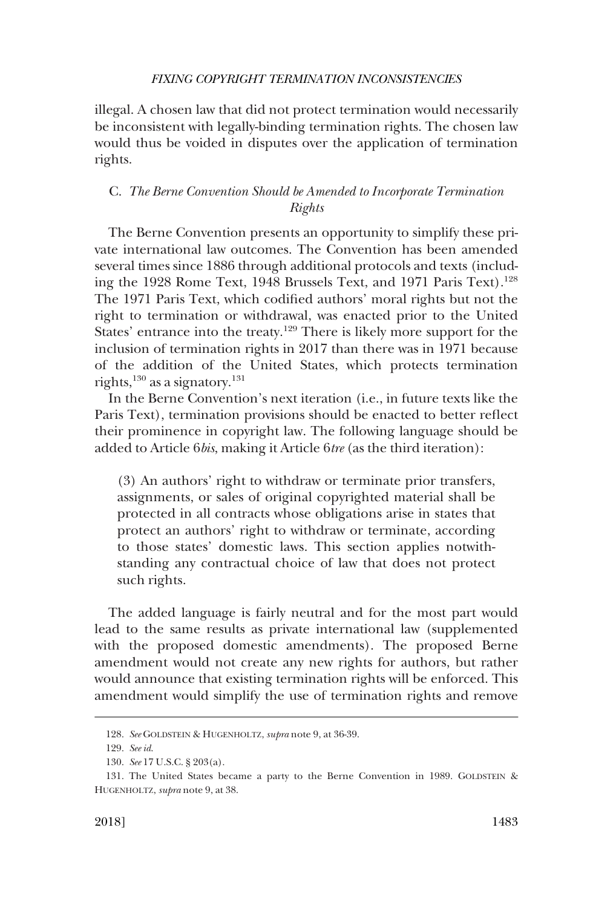<span id="page-22-0"></span>illegal. A chosen law that did not protect termination would necessarily be inconsistent with legally-binding termination rights. The chosen law would thus be voided in disputes over the application of termination rights.

# C. *The Berne Convention Should be Amended to Incorporate Termination Rights*

The Berne Convention presents an opportunity to simplify these private international law outcomes. The Convention has been amended several times since 1886 through additional protocols and texts (including the 1928 Rome Text, 1948 Brussels Text, and 1971 Paris Text).<sup>128</sup> The 1971 Paris Text, which codified authors' moral rights but not the right to termination or withdrawal, was enacted prior to the United States' entrance into the treaty.<sup>129</sup> There is likely more support for the inclusion of termination rights in 2017 than there was in 1971 because of the addition of the United States, which protects termination rights, $^{130}$  as a signatory. $^{131}$ 

In the Berne Convention's next iteration (i.e., in future texts like the Paris Text), termination provisions should be enacted to better reflect their prominence in copyright law. The following language should be added to Article 6*bis*, making it Article 6*tre* (as the third iteration):

(3) An authors' right to withdraw or terminate prior transfers, assignments, or sales of original copyrighted material shall be protected in all contracts whose obligations arise in states that protect an authors' right to withdraw or terminate, according to those states' domestic laws. This section applies notwithstanding any contractual choice of law that does not protect such rights.

The added language is fairly neutral and for the most part would lead to the same results as private international law (supplemented with the proposed domestic amendments). The proposed Berne amendment would not create any new rights for authors, but rather would announce that existing termination rights will be enforced. This amendment would simplify the use of termination rights and remove

<sup>128.</sup>  *See* GOLDSTEIN & HUGENHOLTZ, *supra* note 9, at 36-39.

<sup>129.</sup>  *See id*.

<sup>130.</sup>  *See* 17 U.S.C. § 203(a).

<sup>131.</sup> The United States became a party to the Berne Convention in 1989. GOLDSTEIN & HUGENHOLTZ, *supra* note 9, at 38.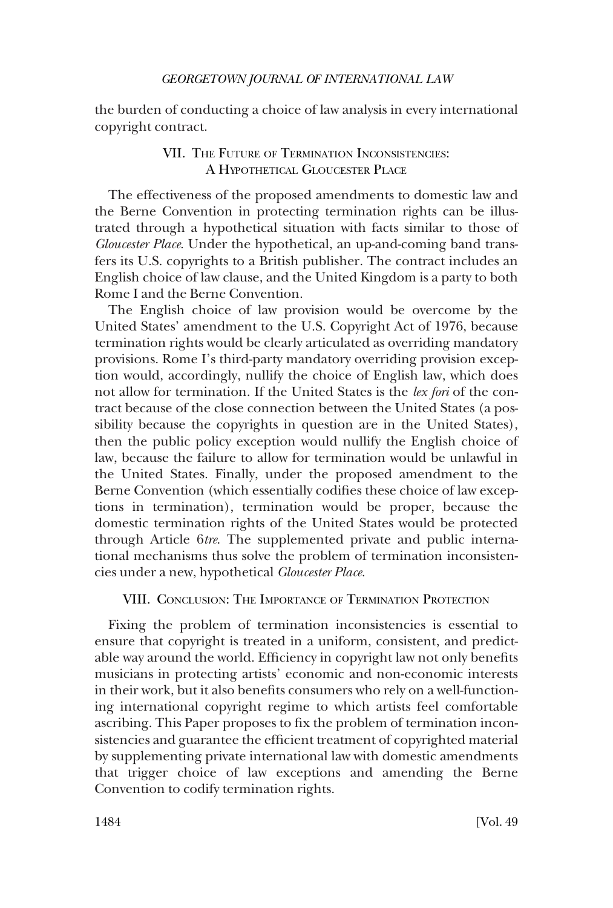<span id="page-23-0"></span>the burden of conducting a choice of law analysis in every international copyright contract.

# VII. THE FUTURE OF TERMINATION INCONSISTENCIES: A HYPOTHETICAL GLOUCESTER PLACE

The effectiveness of the proposed amendments to domestic law and the Berne Convention in protecting termination rights can be illustrated through a hypothetical situation with facts similar to those of *Gloucester Place*. Under the hypothetical, an up-and-coming band transfers its U.S. copyrights to a British publisher. The contract includes an English choice of law clause, and the United Kingdom is a party to both Rome I and the Berne Convention.

The English choice of law provision would be overcome by the United States' amendment to the U.S. Copyright Act of 1976, because termination rights would be clearly articulated as overriding mandatory provisions. Rome I's third-party mandatory overriding provision exception would, accordingly, nullify the choice of English law, which does not allow for termination. If the United States is the *lex fori* of the contract because of the close connection between the United States (a possibility because the copyrights in question are in the United States), then the public policy exception would nullify the English choice of law, because the failure to allow for termination would be unlawful in the United States. Finally, under the proposed amendment to the Berne Convention (which essentially codifies these choice of law exceptions in termination), termination would be proper, because the domestic termination rights of the United States would be protected through Article 6*tre*. The supplemented private and public international mechanisms thus solve the problem of termination inconsistencies under a new, hypothetical *Gloucester Place*.

# VIII. CONCLUSION: THE IMPORTANCE OF TERMINATION PROTECTION

Fixing the problem of termination inconsistencies is essential to ensure that copyright is treated in a uniform, consistent, and predictable way around the world. Efficiency in copyright law not only benefits musicians in protecting artists' economic and non-economic interests in their work, but it also benefits consumers who rely on a well-functioning international copyright regime to which artists feel comfortable ascribing. This Paper proposes to fix the problem of termination inconsistencies and guarantee the efficient treatment of copyrighted material by supplementing private international law with domestic amendments that trigger choice of law exceptions and amending the Berne Convention to codify termination rights.